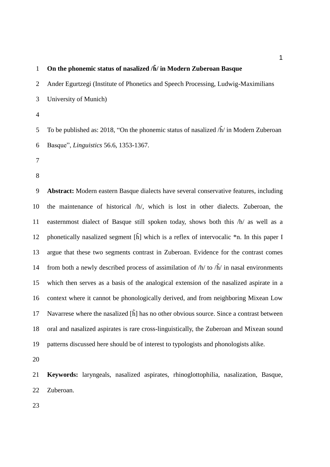### **On the phonemic status of nasalized /h̃/ in Modern Zuberoan Basque**

 Ander Egurtzegi (Institute of Phonetics and Speech Processing, Ludwig-Maximilians University of Munich)

5 To be published as: 2018, "On the phonemic status of nasalized  $\tilde{h}$  in Modern Zuberoan Basque", *Linguistics* 56.6, 1353-1367.

- 
- 

 **Abstract:** Modern eastern Basque dialects have several conservative features, including the maintenance of historical /h/, which is lost in other dialects. Zuberoan, the easternmost dialect of Basque still spoken today, shows both this /h/ as well as a 12 phonetically nasalized segment  $[\tilde{h}]$  which is a reflex of intervocalic  $*n$ . In this paper I argue that these two segments contrast in Zuberoan. Evidence for the contrast comes 14 from both a newly described process of assimilation of  $/h/$  to  $/\tilde{h}/$  in nasal environments which then serves as a basis of the analogical extension of the nasalized aspirate in a context where it cannot be phonologically derived, and from neighboring Mixean Low Navarrese where the nasalized [h̃] has no other obvious source. Since a contrast between oral and nasalized aspirates is rare cross-linguistically, the Zuberoan and Mixean sound patterns discussed here should be of interest to typologists and phonologists alike.

 **Keywords:** laryngeals, nasalized aspirates, rhinoglottophilia, nasalization, Basque, Zuberoan.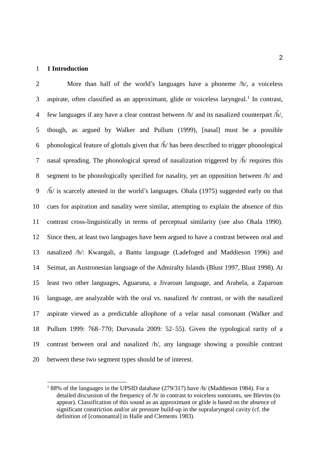#### **1 Introduction**

<u>.</u>

 More than half of the world's languages have a phoneme /h/, a voiceless 3 aspirate, often classified as an approximant, glide or voiceless laryngeal.<sup>1</sup> In contrast, 4 few languages if any have a clear contrast between  $/h/$  and its nasalized counterpart  $/h/$ , though, as argued by Walker and Pullum (1999), [nasal] must be a possible 6 phonological feature of glottals given that  $\tilde{h}$  has been described to trigger phonological 7 nasal spreading. The phonological spread of nasalization triggered by  $\tilde{h}$  requires this segment to be phonologically specified for nasality, yet an opposition between /h/ and /h̄/ is scarcely attested in the world's languages. Ohala (1975) suggested early on that cues for aspiration and nasality were similar, attempting to explain the absence of this contrast cross-linguistically in terms of perceptual similarity (see also Ohala 1990). Since then, at least two languages have been argued to have a contrast between oral and nasalized /h/: Kwangali, a Bantu language (Ladefoged and Maddieson 1996) and Seimat, an Austronesian language of the Admiralty Islands (Blust 1997, Blust 1998). At least two other languages, Aguaruna, a Jivaroan language, and Arabela, a Zaparoan language, are analyzable with the oral vs. nasalized /h/ contrast, or with the nasalized aspirate viewed as a predictable allophone of a velar nasal consonant (Walker and Pullum 1999: 768–770; Durvasula 2009: 52–55). Given the typological rarity of a contrast between oral and nasalized /h/, any language showing a possible contrast between these two segment types should be of interest.

 $188\%$  of the languages in the UPSID database (279/317) have /h/ (Maddieson 1984). For a detailed discussion of the frequency of /h/ in contrast to voiceless sonorants, see Blevins (to appear). Classification of this sound as an approximant or glide is based on the absence of significant constriction and/or air pressure build-up in the supralaryngeal cavity (cf. the definition of [consonantal] in Halle and Clements 1983).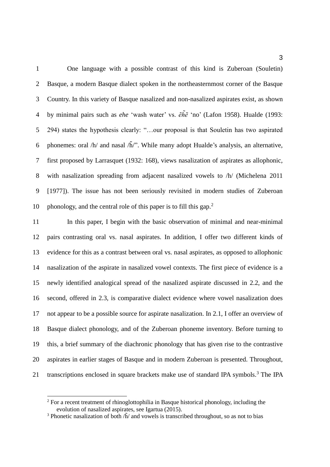One language with a possible contrast of this kind is Zuberoan (Souletin) Basque, a modern Basque dialect spoken in the northeasternmost corner of the Basque Country. In this variety of Basque nasalized and non-nasalized aspirates exist, as shown by minimal pairs such as *ehe* 'wash water' vs. *ẽh̃ẽ* 'no' (Lafon 1958). Hualde (1993: 294) states the hypothesis clearly: "…our proposal is that Souletin has two aspirated 6 phonemes: oral  $/h/$  and nasal  $h/$ ". While many adopt Hualde's analysis, an alternative, first proposed by Larrasquet (1932: 168), views nasalization of aspirates as allophonic, with nasalization spreading from adjacent nasalized vowels to /h/ (Michelena 2011 [1977]). The issue has not been seriously revisited in modern studies of Zuberoan phonology, and the central role of this paper is to fill this gap.<sup>2</sup> 

 In this paper, I begin with the basic observation of minimal and near-minimal pairs contrasting oral vs. nasal aspirates. In addition, I offer two different kinds of evidence for this as a contrast between oral vs. nasal aspirates, as opposed to allophonic nasalization of the aspirate in nasalized vowel contexts. The first piece of evidence is a newly identified analogical spread of the nasalized aspirate discussed in 2.2, and the second, offered in 2.3, is comparative dialect evidence where vowel nasalization does not appear to be a possible source for aspirate nasalization. In 2.1, I offer an overview of Basque dialect phonology, and of the Zuberoan phoneme inventory. Before turning to this, a brief summary of the diachronic phonology that has given rise to the contrastive aspirates in earlier stages of Basque and in modern Zuberoan is presented. Throughout, 21 transcriptions enclosed in square brackets make use of standard IPA symbols.<sup>3</sup> The IPA

<u>.</u>

<sup>&</sup>lt;sup>2</sup> For a recent treatment of rhinoglottophilia in Basque historical phonology, including the evolution of nasalized aspirates, see Igartua (2015).

<sup>&</sup>lt;sup>3</sup> Phonetic nasalization of both  $\hat{h}$  and vowels is transcribed throughout, so as not to bias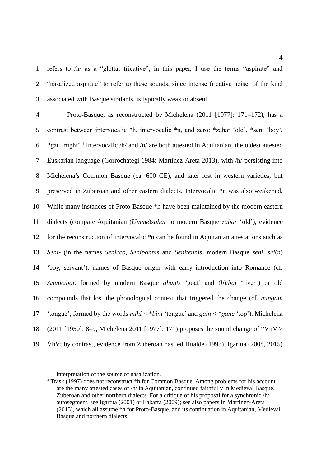refers to /h/ as a "glottal fricative"; in this paper, I use the terms "aspirate" and "nasalized aspirate" to refer to these sounds, since intense fricative noise, of the kind associated with Basque sibilants, is typically weak or absent.

 Proto-Basque, as reconstructed by Michelena (2011 [1977]: 171–172), has a contrast between intervocalic \*h, intervocalic \*n, and zero: \*zahar 'old', \*seni 'boy', \*gau 'night'.<sup>4</sup> Intervocalic /h/ and /n/ are both attested in Aquitanian, the oldest attested Euskarian language (Gorrochategi 1984; Martínez-Areta 2013), with /h/ persisting into Michelena's Common Basque (ca. 600 CE), and later lost in western varieties, but preserved in Zuberoan and other eastern dialects. Intervocalic \*n was also weakened. While many instances of Proto-Basque \*h have been maintained by the modern eastern dialects (compare Aquitanian (*Umme*)*sahar* to modern Basque *zahar* 'old'), evidence for the reconstruction of intervocalic \*n can be found in Aquitanian attestations such as *Seni*- (in the names *Senicco*, *Seniponnis* and *Senitennis*, modern Basque *sehi*, *sei*(*n*) 'boy, servant'), names of Basque origin with early introduction into Romance (cf. *Anuncibai*, formed by modern Basque *ahuntz* 'goat' and (*h*)*ibai* 'river') or old compounds that lost the phonological context that triggered the change (cf. *mingain* 'tongue', formed by the words *mihi* < \**bini* 'tongue' and *gain* < \**gane* 'top'). Michelena (2011 [1950]: 8–9, Michelena 2011 [1977]: 171) proposes the sound change of \*VnV >  $\tilde{V}$ h $\tilde{V}$ ; by contrast, evidence from Zuberoan has led Hualde (1993), Igartua (2008, 2015)

 $\overline{a}$ 

interpretation of the source of nasalization.

<sup>&</sup>lt;sup>4</sup> Trask (1997) does not reconstruct \*h for Common Basque. Among problems for his account are the many attested cases of /h/ in Aquitanian, continued faithfully in Medieval Basque, Zuberoan and other northern dialects. For a critique of his proposal for a synchronic  $/h/$ autosegment, see Igartua (2001) or Lakarra (2009); see also papers in Martinez-Areta (2013), which all assume \*h for Proto-Basque, and its continuation in Aquitanian, Medieval Basque and northern dialects.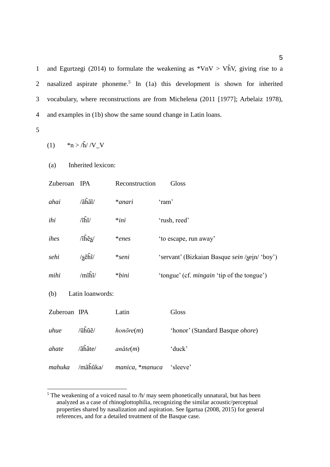1 and Egurtzegi (2014) to formulate the weakening as  $*VnV > VnN$ , giving rise to a 2 nasalized aspirate phoneme.<sup>5</sup> In (1a) this development is shown for inherited 3 vocabulary, where reconstructions are from Michelena (2011 [1977]; Arbelaiz 1978), 4 and examples in (1b) show the same sound change in Latin loans.

5

<u>.</u>

```
(1) *n > \frac{\tilde{h}}{\tilde{h}}/V_{V}V
```
(a) Inherited lexicon:

| Zuberoan     | IPA                                                       | Reconstruction           | Gloss                                             |
|--------------|-----------------------------------------------------------|--------------------------|---------------------------------------------------|
| ahai         | $\lambda$ aĥãĩ/                                           | *anari                   | 'ram'                                             |
| ihi          | $\langle \hat{n} \rangle$                                 | $*ini$                   | 'rush, reed'                                      |
| ihes         | $\sqrt{1} \widetilde{\text{he}} \text{s}$                 | $*enes$                  | 'to escape, run away'                             |
| sehi         | $\sqrt{\text{s}}$ ếhĩ/                                    | $*seni$                  | 'servant' (Bizkaian Basque sein /sein/ 'boy')     |
| mihi         | $/m\tilde{h}$                                             | $*bini$                  | 'tongue' (cf. <i>mingain</i> 'tip of the tongue') |
| (b)          | Latin loanwords:                                          |                          |                                                   |
| Zuberoan IPA |                                                           | Latin                    | Gloss                                             |
| uhue         | $\langle \tilde{u} \tilde{h} \tilde{u} \tilde{e} \rangle$ | $hon\bar{o}re(m)$        | 'honor' (Standard Basque <i>ohore</i> )           |
| ahate        | $\sqrt{a} \tilde{h} \tilde{a} t e$                        | $an\check{a}te(m)$       | 'duck'                                            |
| mahuka       | /mãĥũka/                                                  | manica, *manuca 'sleeve' |                                                   |

 $5$  The weakening of a voiced nasal to  $/h$  may seem phonetically unnatural, but has been analyzed as a case of rhinoglottophilia, recognizing the similar acoustic/perceptual properties shared by nasalization and aspiration. See Igartua (2008, 2015) for general references, and for a detailed treatment of the Basque case.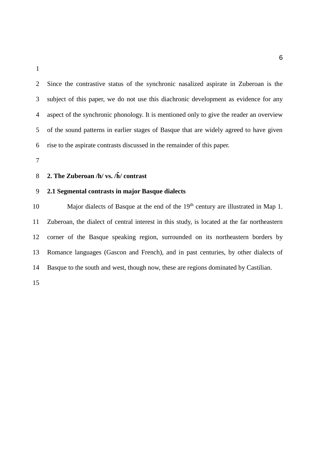Since the contrastive status of the synchronic nasalized aspirate in Zuberoan is the subject of this paper, we do not use this diachronic development as evidence for any aspect of the synchronic phonology. It is mentioned only to give the reader an overview of the sound patterns in earlier stages of Basque that are widely agreed to have given rise to the aspirate contrasts discussed in the remainder of this paper.

#### **2. The Zuberoan /h/ vs. /h̃/ contrast**

## **2.1 Segmental contrasts in major Basque dialects**

Major dialects of Basque at the end of the  $19<sup>th</sup>$  century are illustrated in Map 1. Zuberoan, the dialect of central interest in this study, is located at the far northeastern corner of the Basque speaking region, surrounded on its northeastern borders by Romance languages (Gascon and French), and in past centuries, by other dialects of Basque to the south and west, though now, these are regions dominated by Castilian.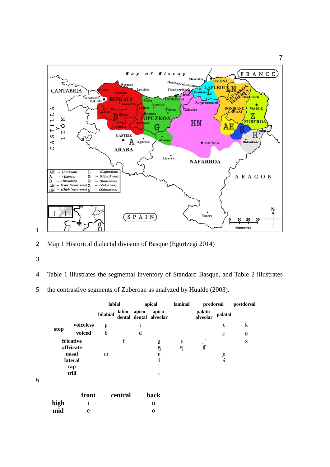

- 2 Map 1 Historical dialectal division of Basque (Egurtzegi 2014)
- 3

- 4 Table 1 illustrates the segmental inventory of Standard Basque, and Table 2 illustrates
- 5 the contrastive segments of Zuberoan as analyzed by Hualde (2003).

|      |                                            | labial      |             | apical |                                                | laminal  | predorsal                |                   | postdorsal       |
|------|--------------------------------------------|-------------|-------------|--------|------------------------------------------------|----------|--------------------------|-------------------|------------------|
|      |                                            | bilabial    |             |        | labio- apico- apico-<br>dental dental alveolar |          | palato-<br>alveolar      | palatal           |                  |
|      | voiceless                                  | p           |             | t      |                                                |          |                          | $\mathbf{C}$      | k                |
| stop | voiced                                     | $\mathbf b$ |             | d      |                                                |          |                          | J                 | $\boldsymbol{g}$ |
|      | fricative<br>affricate<br>nasal<br>lateral | m           | $\mathbf f$ |        | ន្ទ<br>ſ2<br>$\mathbf n$<br>1                  | ş<br>ទ្ទ | $\int$<br>$\mathfrak{g}$ | $\mathbf{n}$<br>K | X                |
|      | tap<br>trill                               |             |             |        | $\mathbf{r}$<br>r                              |          |                          |                   |                  |
|      | front                                      |             | central     |        | back                                           |          |                          |                   |                  |
| high | 1                                          |             |             |        | u                                              |          |                          |                   |                  |
| mid  | e                                          |             |             |        | O                                              |          |                          |                   |                  |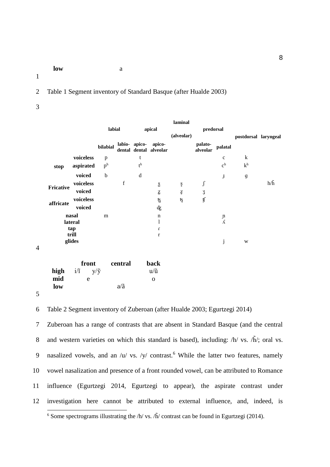**low** a

1

2 Table 1 Segment inventory of Standard Basque (after Hualde 2003)

3

|           |                                |                |               |                           |                                                | laminal                                                                                                                        |                     |                            |                      |               |
|-----------|--------------------------------|----------------|---------------|---------------------------|------------------------------------------------|--------------------------------------------------------------------------------------------------------------------------------|---------------------|----------------------------|----------------------|---------------|
|           |                                | labial         |               |                           | apical                                         | (alveolar)                                                                                                                     | predorsal           |                            |                      |               |
|           |                                | bilabial       |               |                           | labio- apico- apico-<br>dental dental alveolar |                                                                                                                                | palato-<br>alveolar | palatal                    | postdorsal laryngeal |               |
|           | voiceless                      | p              |               | t                         |                                                |                                                                                                                                |                     | $\mathbf c$                | $\bf k$              |               |
| stop      | aspirated                      | p <sup>h</sup> |               | $\mathfrak{t}^{\text{h}}$ |                                                |                                                                                                                                |                     | c <sup>h</sup>             | k <sup>h</sup>       |               |
|           | voiced                         | $\mathbf b$    |               | d                         |                                                |                                                                                                                                |                     | $\bf J$                    | g                    |               |
| Fricative | voiceless                      |                | $\mathbf f$   |                           | $\mathbf S$                                    | $\mathbf{S}% _{T}=\mathbf{S}_{T}\!\left( \mathbf{S}_{T}\right) ,\mathbf{A}_{T}=\mathbf{S}_{T}\!\left( \mathbf{S}_{T}\right) ,$ | $\int$              |                            |                      | $h/\tilde{h}$ |
|           | voiced                         |                |               |                           | $\mathbf Z$                                    | $\ensuremath{\underline{Z}}$                                                                                                   | ${\bf 3}$           |                            |                      |               |
| affricate | voiceless                      |                |               |                           | ម្ម                                            | ទ្ទ                                                                                                                            | ţſ                  |                            |                      |               |
|           | voiced                         |                |               |                           | ф                                              |                                                                                                                                |                     |                            |                      |               |
|           | nasal                          | m              |               |                           | $\mathbf n$<br>1                               |                                                                                                                                |                     | $\mathfrak n$<br>$\Lambda$ |                      |               |
|           | lateral<br>tap                 |                |               |                           | $\boldsymbol{\Gamma}$                          |                                                                                                                                |                     |                            |                      |               |
|           | trill                          |                |               |                           | $\bf r$                                        |                                                                                                                                |                     |                            |                      |               |
|           | glides                         |                |               |                           |                                                |                                                                                                                                |                     | $\mathbf{j}$               | W                    |               |
|           |                                |                |               |                           |                                                |                                                                                                                                |                     |                            |                      |               |
|           | front                          |                | central       |                           | back                                           |                                                                                                                                |                     |                            |                      |               |
| high      | $i/\tilde{i}$<br>$y/\tilde{y}$ |                |               |                           | $u/\tilde{u}$                                  |                                                                                                                                |                     |                            |                      |               |
| mid       | e                              |                |               |                           | $\mathbf O$                                    |                                                                                                                                |                     |                            |                      |               |
| low       |                                |                | $a/\tilde{a}$ |                           |                                                |                                                                                                                                |                     |                            |                      |               |

5

4

6 Table 2 Segment inventory of Zuberoan (after Hualde 2003; Egurtzegi 2014)

7 Zuberoan has a range of contrasts that are absent in Standard Basque (and the central 8 and western varieties on which this standard is based), including:  $/h / vs. \tilde{h}/;$  oral vs. 9 nasalized vowels, and an  $\sqrt{u}$  vs.  $\sqrt{y}$  contrast.<sup>6</sup> While the latter two features, namely 10 vowel nasalization and presence of a front rounded vowel, can be attributed to Romance 11 influence (Egurtzegi 2014, Egurtzegi to appear), the aspirate contrast under 12 investigation here cannot be attributed to external influence, and, indeed, is <u>.</u>

<sup>&</sup>lt;sup>6</sup> Some spectrograms illustrating the /h/ vs. /h̄/ contrast can be found in Egurtzegi (2014).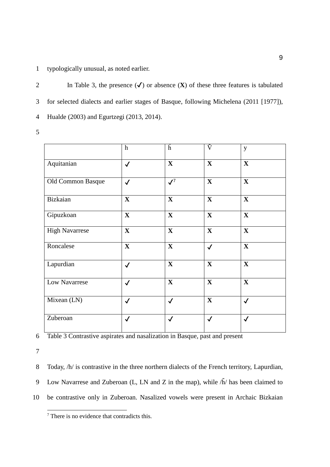1 typologically unusual, as noted earlier.

2 In Table 3, the presence  $(\checkmark)$  or absence  $(\checkmark)$  of these three features is tabulated 3 for selected dialects and earlier stages of Basque, following Michelena (2011 [1977]), 4 Hualde (2003) and Egurtzegi (2013, 2014). 5

|  | × |  |
|--|---|--|
|  |   |  |
|  |   |  |

|                       | $\mathbf h$             | $\tilde{h}$             | $\tilde{\mathrm{V}}$    | y            |
|-----------------------|-------------------------|-------------------------|-------------------------|--------------|
| Aquitanian            | $\checkmark$            | $\mathbf X$             | $\mathbf X$             | $\mathbf X$  |
| Old Common Basque     | $\checkmark$            | $\mathcal{J}^7$         | $\mathbf{X}$            | $\mathbf X$  |
| Bizkaian              | $\mathbf{X}$            | $\mathbf X$             | $\mathbf X$             | $\mathbf X$  |
| Gipuzkoan             | $\overline{\mathbf{X}}$ | $\overline{\mathbf{X}}$ | $\overline{\mathbf{X}}$ | $\mathbf{X}$ |
| <b>High Navarrese</b> | $\mathbf{X}$            | $\mathbf{X}$            | $\mathbf{X}$            | $\mathbf X$  |
| Roncalese             | $\mathbf{X}$            | $\mathbf X$             | $\checkmark$            | $\mathbf X$  |
| Lapurdian             | $\checkmark$            | $\mathbf X$             | $\mathbf{X}$            | $\mathbf X$  |
| Low Navarrese         | $\checkmark$            | $\mathbf{X}$            | $\mathbf{X}$            | $\mathbf X$  |
| Mixean (LN)           | $\checkmark$            | $\checkmark$            | $\mathbf{X}$            | $\checkmark$ |
| Zuberoan              | $\checkmark$            | $\checkmark$            | $\checkmark$            | $\checkmark$ |

6 Table 3 Contrastive aspirates and nasalization in Basque, past and present

7

8 Today, /h/ is contrastive in the three northern dialects of the French territory, Lapurdian, 9 Low Navarrese and Zuberoan (L, LN and Z in the map), while  $\tilde{h}$  has been claimed to 10 be contrastive only in Zuberoan. Nasalized vowels were present in Archaic Bizkaian <u>.</u>

<sup>&</sup>lt;sup>7</sup> There is no evidence that contradicts this.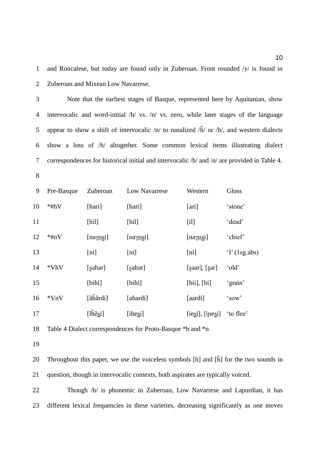and Roncalese, but today are found only in Zuberoan. Front rounded /y/ is found in Zuberoan and Mixean Low Navarrese.

- Note that the earliest stages of Basque, represented here by Aquitanian, show intervocalic and word-initial /h/ vs. /n/ vs. zero, while later stages of the language 5 appear to show a shift of intervocalic  $/n/$  to nasalized  $/h/$  or  $/h/$ , and western dialects show a loss of /h/ altogether. Some common lexical items illustrating dialect correspondences for historical initial and intervocalic /h/ and /n/ are provided in Table 4.
- 

| 9  | Pre-Basque | Zuberoan                                                       | Low Navarrese      | Western           | Gloss              |
|----|------------|----------------------------------------------------------------|--------------------|-------------------|--------------------|
| 10 | $*#hV$     | [hari]                                                         | [hari]             | [ari]             | 'stone'            |
| 11 |            | [hill]                                                         | [hill]             | [i]               | 'dead'             |
| 12 | $*finV$    | $[na\gamma u\sin]$                                             | $[na\gamma u\sin]$ | [na $\gamma$ usi] | 'chief'            |
| 13 |            | [ni]                                                           | [ni]               | [ni]              | $\Gamma$ (1sg.abs) |
| 14 | *VhV       | [sahar]                                                        | [sahar]            | [saar], [sar]     | 'old'              |
| 15 |            | [bihi]                                                         | [bihi]             | [bii], [bi]       | 'grain'            |
| 16 | $*VnV$     | $[\tilde{\text{a}}\tilde{\text{h}}\tilde{\text{a}}\text{rdi}]$ | [ahardi]           | [aardi]           | 'sow'              |
| 17 |            | $[\tilde{\text{ih}}\tilde{\text{e}}\text{si}]$                 | [ihesi]            | [iegi], [ipegi]   | 'to flee'          |

Table 4 Dialect correspondences for Proto-Basque \*h and \*n

20 Throughout this paper, we use the voiceless symbols  $[h]$  and  $[\tilde{h}]$  for the two sounds in question, though in intervocalic contexts, both aspirates are typically voiced.

22 Though /h/ is phonemic in Zuberoan, Low Navarrese and Lapurdian, it has different lexical frequencies in these varieties, decreasing significantly as one moves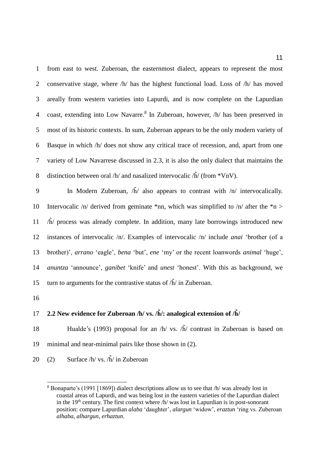from east to west. Zuberoan, the easternmost dialect, appears to represent the most 2 conservative stage, where  $/h/$  has the highest functional load. Loss of  $/h/$  has moved areally from western varieties into Lapurdi, and is now complete on the Lapurdian 4 coast, extending into Low Navarre.<sup>8</sup> In Zuberoan, however,  $/h/$  has been preserved in most of its historic contexts. In sum, Zuberoan appears to be the only modern variety of Basque in which /h/ does not show any critical trace of recession, and, apart from one variety of Low Navarrese discussed in 2.3, it is also the only dialect that maintains the 8 distinction between oral /h/ and nasalized intervocalic  $\tilde{h}$ / (from \*VnV).

9 In Modern Zuberoan,  $\tilde{h}$  also appears to contrast with  $\pi$  intervocalically. 10 Intervocalic  $/n/$  derived from geminate \*nn, which was simplified to  $/n/$  after the \*n >  $11$  /h̃/ process was already complete. In addition, many late borrowings introduced new 12 instances of intervocalic /n/. Examples of intervocalic /n/ include *anai* 'brother (of a 13 brother)', *arrano* 'eagle', *bena* 'but', *ene* 'my' or the recent loanwords *animal* 'huge', 14 *anuntza* 'announce', *ganibet* 'knife' and *unest* 'honest'. With this as background, we 15 turn to arguments for the contrastive status of  $\tilde{h}$  in Zuberoan.

16

<u>.</u>

### 17 **2.2 New evidence for Zuberoan /h/ vs. /h̃/: analogical extension of /h̃/**

18 Hualde's (1993) proposal for an  $/h/$  vs.  $/h/$  contrast in Zuberoan is based on 19 minimal and near-minimal pairs like those shown in (2).

20 (2) Surface  $/h / vs. /h / in Zuberon$ 

<sup>8</sup> Bonaparte's (1991 [1869]) dialect descriptions allow us to see that /h/ was already lost in coastal areas of Lapurdi, and was being lost in the eastern varieties of the Lapurdian dialect in the  $19<sup>th</sup>$  century. The first context where  $/h$  was lost in Lapurdian is in post-sonorant position: compare Lapurdian *alaba* 'daughter', *alargun* 'widow', *eraztun* 'ring vs. Zuberoan *alhaba*, *alhargun*, *erhaztun*.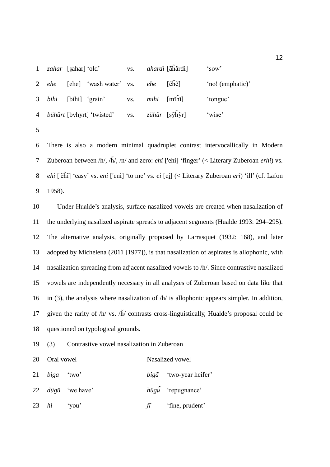|   | 1 <i>zahar</i> [sahar] 'old' |                                                             |  | vs. <i>ahardi</i> [ãhãrdi] | 'sow'            |
|---|------------------------------|-------------------------------------------------------------|--|----------------------------|------------------|
|   |                              | 2 <i>ehe</i> [ehe] 'wash water' vs. <i>ehe</i>              |  | $[ěh\tilde{e}]$            | 'no! (emphatic)' |
|   |                              | 3 <i>bihi</i> [bihi] 'grain' vs. <i>mihi</i> [mihi]         |  |                            | 'tongue'         |
|   |                              | 4 <i>bühürt</i> [byhyrt] 'twisted' vs. <i>zühür</i> [şỹhỹr] |  |                            | 'wise'           |
| 5 |                              |                                                             |  |                            |                  |

 There is also a modern minimal quadruplet contrast intervocallically in Modern Zuberoan between /h/, /h̃/, /n/ and zero: *ehi* ['ehi] 'finger' (< Literary Zuberoan *erhi*) vs. *ehi* ['ẽh̃ĩ] 'easy' vs. *eni* ['eni] 'to me' vs. *ei* [ei̯] (< Literary Zuberoan *eri*) 'ill' (cf. Lafon 1958).

 Under Hualde's analysis, surface nasalized vowels are created when nasalization of the underlying nasalized aspirate spreads to adjacent segments (Hualde 1993: 294–295). The alternative analysis, originally proposed by Larrasquet (1932: 168), and later adopted by Michelena (2011 [1977]), is that nasalization of aspirates is allophonic, with nasalization spreading from adjacent nasalized vowels to /h/. Since contrastive nasalized vowels are independently necessary in all analyses of Zuberoan based on data like that 16 in (3), the analysis where nasalization of  $/h/$  is allophonic appears simpler. In addition, 17 given the rarity of  $/h/vs$ .  $h\tilde{h}/$  contrasts cross-linguistically, Hualde's proposal could be questioned on typological grounds.

(3) Contrastive vowel nasalization in Zuberoan

| 20 Oral vowel   |                          | Nasalized vowel  |                                    |  |
|-----------------|--------------------------|------------------|------------------------------------|--|
| 21 $biga$ 'two' |                          |                  | $big\{\tilde{a}$ 'two-year heifer' |  |
|                 | 22 <i>dügü</i> 'we have' |                  | $h\ddot{u}g\ddot{u}$ 'repugnance'  |  |
| 23 $hi$ 'you'   |                          | $f\tilde{\iota}$ | 'fine, prudent'                    |  |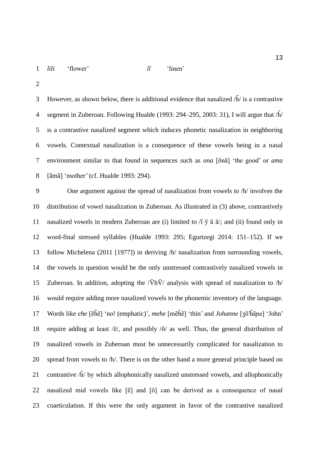3 However, as shown below, there is additional evidence that nasalized  $\tilde{h}$  is a contrastive 4 segment in Zuberoan. Following Hualde (1993: 294–295, 2003: 31), I will argue that  $\tilde{h}$  is a contrastive nasalized segment which induces phonetic nasalization in neighboring vowels. Contextual nasalization is a consequence of these vowels being in a nasal environment similar to that found in sequences such as *ona* [õnã] 'the good' or *ama* [ãmã] 'mother' (cf. Hualde 1993: 294).

 One argument against the spread of nasalization from vowels to /h/ involves the distribution of vowel nasalization in Zuberoan. As illustrated in (3) above, contrastively 11 nasalized vowels in modern Zuberoan are (i) limited to  $\tilde{\eta}$   $\tilde{\gamma}$   $\tilde{u}$   $\tilde{a}$ ; and (ii) found only in word-final stressed syllables (Hualde 1993: 295; Egurtzegi 2014: 151–152). If we follow Michelena (2011 [1977]) in deriving /h/ nasalization from surrounding vowels, the vowels in question would be the only unstressed contrastively nasalized vowels in 15 Zuberoan. In addition, adopting the  $\sqrt{\hbar}V$  analysis with spread of nasalization to  $\hbar$  would require adding more nasalized vowels to the phonemic inventory of the language. Words like *ehe* [ẽh̃ẽ] 'no! (emphatic)', *mehe* [mẽh̃ẽ] 'thin' and *Johanne* [ʒõ'h̃ãɲe] 'John' 18 require adding at least  $\frac{\tilde{\epsilon}}{\tilde{\epsilon}}$ , and possibly  $\frac{\tilde{\delta}}{\tilde{\epsilon}}$  as well. Thus, the general distribution of nasalized vowels in Zuberoan must be unnecessarily complicated for nasalization to spread from vowels to /h/. There is on the other hand a more general principle based on 21 contrastive  $\tilde{h}$  by which allophonically nasalized unstressed vowels, and allophonically nasalized mid vowels like [ẽ] and [õ] can be derived as a consequence of nasal coarticulation. If this were the only argument in favor of the contrastive nasalized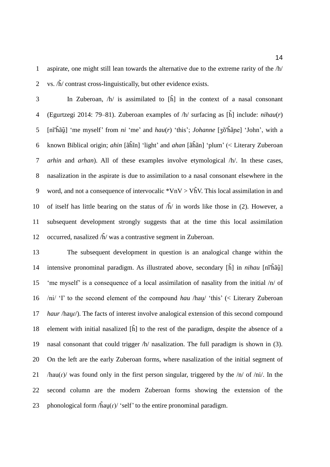aspirate, one might still lean towards the alternative due to the extreme rarity of the /h/ 2 vs.  $\sqrt{h}$  contrast cross-linguistically, but other evidence exists.

3 In Zuberoan,  $/h/$  is assimilated to  $\tilde{h}$  in the context of a nasal consonant (Egurtzegi 2014: 79–81). Zuberoan examples of /h/ surfacing as [h̃] include: *nihau*(*r*) [nĩ'h̃ãũ̯] 'me myself' from *ni* 'me' and *hau*(*r*) 'this'; *Johanne* [ʒõ'h̃ãɲe] 'John', with a known Biblical origin; *ahin* [ãh̃ĩn] 'light' and *ahan* [ãh̃ãn] 'plum' (< Literary Zuberoan *arhin* and *arhan*). All of these examples involve etymological /h/. In these cases, nasalization in the aspirate is due to assimilation to a nasal consonant elsewhere in the 9 word, and not a consequence of intervocalic  $*VnV > VnV$ . This local assimilation in and 10 of itself has little bearing on the status of  $\tilde{h}$  in words like those in (2). However, a subsequent development strongly suggests that at the time this local assimilation 12 occurred, nasalized  $\sqrt{h}$  was a contrastive segment in Zuberoan.

 The subsequent development in question is an analogical change within the intensive pronominal paradigm. As illustrated above, secondary [h̃] in *nihau* [nĩ'h̃ãũ̯] 'me myself' is a consequence of a local assimilation of nasality from the initial /n/ of */ni/* 'I' to the second element of the compound *hau* /hau/ 'this' (< Literary Zuberoan *haur* /haur/). The facts of interest involve analogical extension of this second compound 18 element with initial nasalized  $[\tilde{h}]$  to the rest of the paradigm, despite the absence of a nasal consonant that could trigger /h/ nasalization. The full paradigm is shown in (3). On the left are the early Zuberoan forms, where nasalization of the initial segment of 21 /hau( $r$ )/ was found only in the first person singular, triggered by the  $/n/$  of /ni/. In the second column are the modern Zuberoan forms showing the extension of the 23 phonological form  $/$ h̃au $(r)$  'self' to the entire pronominal paradigm.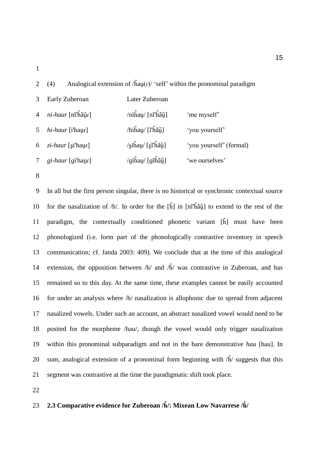2 (4) Analogical extension of  $/$ h̃au $(r)$  'self' within the pronominal paradigm

|                | Early Zuberoan           | Later Zuberoan                              |                         |
|----------------|--------------------------|---------------------------------------------|-------------------------|
| $\overline{4}$ | ni-haur [nĩ'hãũr]        | $\sinh\left(\frac{\pi}{2}\right)$           | 'me myself'             |
| 5.             | hi-haur [i'haur]         | $\Delta$ hihau/ [ĩ'hã $\tilde{u}$ ]         | 'you yourself'          |
| 6              | zi-haur [si'haur]        | $\sin \frac{\pi x}{2}$ [si'ha $\tilde{u}$ ] | 'you yourself' (formal) |
|                | <i>gi-haur</i> [gi'haur] | $\sqrt{q}$ ihau/ [gĩhãų̃]                   | 'we ourselves'          |

 In all but the first person singular, there is no historical or synchronic contextual source 10 for the nasalization of  $/h$ . In order for the  $\left[\tilde{h}\right]$  in  $\left[\tilde{n}\right]$  for extend to the rest of the paradigm, the contextually conditioned phonetic variant [h̃] must have been phonologized (i.e. form part of the phonologically contrastive inventory in speech communication; cf. Janda 2003: 409). We conclude that at the time of this analogical 14 extension, the opposition between  $/h/$  and  $h/$  was contrastive in Zuberoan, and has remained so to this day. At the same time, these examples cannot be easily accounted for under an analysis where /h/ nasalization is allophonic due to spread from adjacent nasalized vowels. Under such an account, an abstract nasalized vowel would need to be posited for the morpheme /hau/, though the vowel would only trigger nasalization within this pronominal subparadigm and not in the bare demonstrative *hau* [hau]. In 20 sum, analogical extension of a pronominal form beginning with  $\tilde{h}$  suggests that this segment was contrastive at the time the paradigmatic shift took place.

# **2.3 Comparative evidence for Zuberoan /h̃/: Mixean Low Navarrese /h̃/**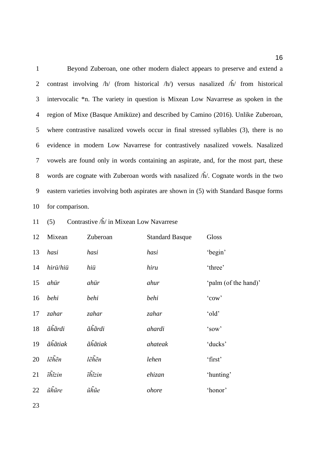Beyond Zuberoan, one other modern dialect appears to preserve and extend a 2 contrast involving /h/ (from historical /h/) versus nasalized /h̃/ from historical intervocalic \*n. The variety in question is Mixean Low Navarrese as spoken in the region of Mixe (Basque Amiküze) and described by Camino (2016). Unlike Zuberoan, where contrastive nasalized vowels occur in final stressed syllables (3), there is no evidence in modern Low Navarrese for contrastively nasalized vowels. Nasalized vowels are found only in words containing an aspirate, and, for the most part, these 8 words are cognate with Zuberoan words with nasalized  $\tilde{h}$ . Cognate words in the two eastern varieties involving both aspirates are shown in (5) with Standard Basque forms for comparison.

11 (5) Contrastive  $\tilde{h}$  in Mixean Low Navarrese

| 12 | Mixean   | Zuberoan | <b>Standard Basque</b> | Gloss                |
|----|----------|----------|------------------------|----------------------|
| 13 | hasi     | hasi     | hasi                   | 'begin'              |
| 14 | hirü/hiü | hiü      | hiru                   | 'three'              |
| 15 | ahür     | ahür     | ahur                   | 'palm (of the hand)' |
| 16 | behi     | behi     | behi                   | 'cow'                |
| 17 | zahar    | zahar    | zahar                  | 'old'                |
| 18 | ãĥãrdi   | ãĥãrdi   | ahardi                 | 'sow'                |
| 19 | ãĥãtiak  | ãĥãtiak  | ahateak                | 'ducks'              |
| 20 | lẽhẽn    | lẽhẽn    | lehen                  | 'first'              |
| 21 | îĥĩzin   | ĩĥĩzin   | ehizan                 | 'hunting'            |
| 22 | ũhũre    | ũĥũe     | ohore                  | 'honor'              |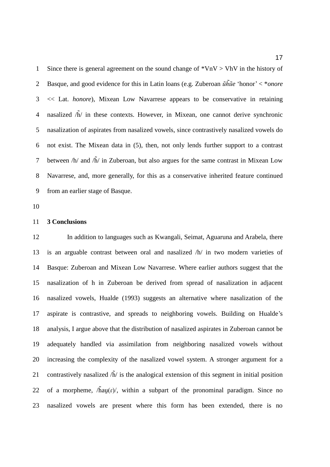1 Since there is general agreement on the sound change of  $*VnV > VhV$  in the history of Basque, and good evidence for this in Latin loans (e.g. Zuberoan *ũh̃ũe* 'honor' < \**onore* << Lat. *honore*), Mixean Low Navarrese appears to be conservative in retaining 4 nasalized  $\sqrt{h}$  in these contexts. However, in Mixean, one cannot derive synchronic nasalization of aspirates from nasalized vowels, since contrastively nasalized vowels do not exist. The Mixean data in (5), then, not only lends further support to a contrast 7 between  $/h/$  and  $h/$  in Zuberoan, but also argues for the same contrast in Mixean Low Navarrese, and, more generally, for this as a conservative inherited feature continued from an earlier stage of Basque.

#### **3 Conclusions**

 In addition to languages such as Kwangali, Seimat, Aguaruna and Arabela, there is an arguable contrast between oral and nasalized /h/ in two modern varieties of Basque: Zuberoan and Mixean Low Navarrese. Where earlier authors suggest that the nasalization of h in Zuberoan be derived from spread of nasalization in adjacent nasalized vowels, Hualde (1993) suggests an alternative where nasalization of the aspirate is contrastive, and spreads to neighboring vowels. Building on Hualde's analysis, I argue above that the distribution of nasalized aspirates in Zuberoan cannot be adequately handled via assimilation from neighboring nasalized vowels without increasing the complexity of the nasalized vowel system. A stronger argument for a 21 contrastively nasalized  $\tilde{h}$  is the analogical extension of this segment in initial position 22 of a morpheme,  $/\hat{h}au(r)$ , within a subpart of the pronominal paradigm. Since no nasalized vowels are present where this form has been extended, there is no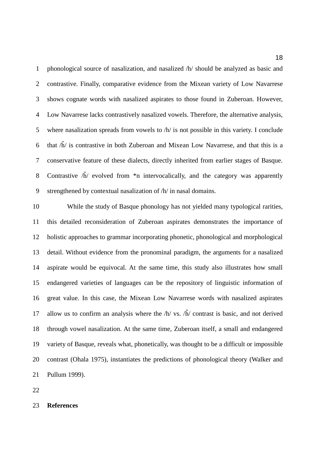phonological source of nasalization, and nasalized /h/ should be analyzed as basic and contrastive. Finally, comparative evidence from the Mixean variety of Low Navarrese shows cognate words with nasalized aspirates to those found in Zuberoan. However, Low Navarrese lacks contrastively nasalized vowels. Therefore, the alternative analysis, where nasalization spreads from vowels to /h/ is not possible in this variety. I conclude 6 that  $\tilde{h}$  is contrastive in both Zuberoan and Mixean Low Navarrese, and that this is a conservative feature of these dialects, directly inherited from earlier stages of Basque. 8 Contrastive  $\hat{h}$  evolved from  $*$ n intervocalically, and the category was apparently strengthened by contextual nasalization of /h/ in nasal domains.

 While the study of Basque phonology has not yielded many typological rarities, this detailed reconsideration of Zuberoan aspirates demonstrates the importance of holistic approaches to grammar incorporating phonetic, phonological and morphological detail. Without evidence from the pronominal paradigm, the arguments for a nasalized aspirate would be equivocal. At the same time, this study also illustrates how small endangered varieties of languages can be the repository of linguistic information of great value. In this case, the Mixean Low Navarrese words with nasalized aspirates 17 allow us to confirm an analysis where the  $/h/v_s$ .  $/\tilde{h}/$  contrast is basic, and not derived through vowel nasalization. At the same time, Zuberoan itself, a small and endangered variety of Basque, reveals what, phonetically, was thought to be a difficult or impossible contrast (Ohala 1975), instantiates the predictions of phonological theory (Walker and Pullum 1999).

**References**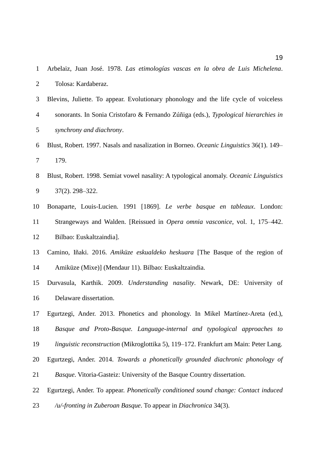| $\mathbf{1}$ | Arbelaiz, Juan José. 1978. Las etimologías vascas en la obra de Luis Michelena.         |
|--------------|-----------------------------------------------------------------------------------------|
| 2            | Tolosa: Kardaberaz.                                                                     |
| 3            | Blevins, Juliette. To appear. Evolutionary phonology and the life cycle of voiceless    |
| 4            | sonorants. In Sonia Cristofaro & Fernando Zúñiga (eds.), Typological hierarchies in     |
| 5            | synchrony and diachrony.                                                                |
| 6            | Blust, Robert. 1997. Nasals and nasalization in Borneo. Oceanic Linguistics 36(1). 149– |
| 7            | 179.                                                                                    |
| 8            | Blust, Robert. 1998. Semiat vowel nasality: A typological anomaly. Oceanic Linguistics  |
| 9            | $37(2)$ , $298 - 322$ .                                                                 |
| 10           | Bonaparte, Louis-Lucien. 1991 [1869]. Le verbe basque en tableaux. London:              |
| 11           | Strangeways and Walden. [Reissued in <i>Opera omnia vasconice</i> , vol. 1, 175–442.    |
| 12           | Bilbao: Euskaltzaindia].                                                                |
| 13           | Camino, Iñaki. 2016. Amiküze eskualdeko heskuara [The Basque of the region of           |
| 14           | Amiküze (Mixe)] (Mendaur 11). Bilbao: Euskaltzaindia.                                   |
| 15           | Durvasula, Karthik. 2009. Understanding nasality. Newark, DE: University of             |
| 16           | Delaware dissertation.                                                                  |
| 17           | Egurtzegi, Ander. 2013. Phonetics and phonology. In Mikel Martínez-Areta (ed.),         |
| 18           | Basque and Proto-Basque. Language-internal and typological approaches to                |
| 19           | linguistic reconstruction (Mikroglottika 5), 119-172. Frankfurt am Main: Peter Lang.    |
| 20           | Egurtzegi, Ander. 2014. Towards a phonetically grounded diachronic phonology of         |
| 21           | Basque. Vitoria-Gasteiz: University of the Basque Country dissertation.                 |
| 22           | Egurtzegi, Ander. To appear. Phonetically conditioned sound change: Contact induced     |
| 23           | / $u$ /-fronting in Zuberoan Basque. To appear in Diachronica 34(3).                    |
|              |                                                                                         |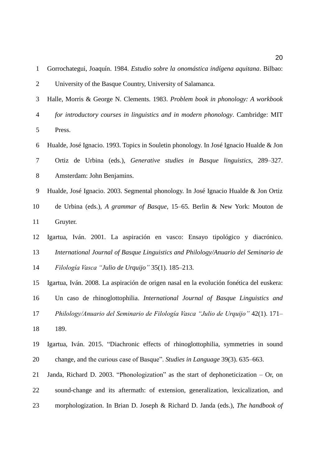| $\mathbf{1}$   | Gorrochategui, Joaquín. 1984. Estudio sobre la onomástica indígena aquitana. Bilbao:     |
|----------------|------------------------------------------------------------------------------------------|
| $\overline{2}$ | University of the Basque Country, University of Salamanca.                               |
| 3              | Halle, Morris & George N. Clements. 1983. Problem book in phonology: A workbook          |
| 4              | for introductory courses in linguistics and in modern phonology. Cambridge: MIT          |
| 5              | Press.                                                                                   |
| 6              | Hualde, José Ignacio. 1993. Topics in Souletin phonology. In José Ignacio Hualde & Jon   |
| 7              | Ortiz de Urbina (eds.), Generative studies in Basque linguistics, 289-327.               |
| $\, 8$         | Amsterdam: John Benjamins.                                                               |
| $9$            | Hualde, José Ignacio. 2003. Segmental phonology. In José Ignacio Hualde & Jon Ortiz      |
| 10             | de Urbina (eds.), A grammar of Basque, 15–65. Berlin & New York: Mouton de               |
| 11             | Gruyter.                                                                                 |
| 12             | Igartua, Iván. 2001. La aspiración en vasco: Ensayo tipológico y diacrónico.             |
| 13             | International Journal of Basque Linguistics and Philology/Anuario del Seminario de       |
| 14             | Filología Vasca "Julio de Urquijo" 35(1). 185-213.                                       |
| 15             | Igartua, Iván. 2008. La aspiración de origen nasal en la evolución fonética del euskera: |
| 16             | Un caso de rhinoglottophilia. International Journal of Basque Linguistics and            |
| 17             | Philology/Anuario del Seminario de Filología Vasca "Julio de Urquijo" 42(1). 171-        |
| 18             | 189.                                                                                     |
| 19             | Igartua, Iván. 2015. "Diachronic effects of rhinoglottophilia, symmetries in sound       |
| 20             | change, and the curious case of Basque". Studies in Language 39(3). 635–663.             |
| 21             | Janda, Richard D. 2003. "Phonologization" as the start of dephoneticization $-$ Or, on   |
| 22             | sound-change and its aftermath: of extension, generalization, lexicalization, and        |
| 23             | morphologization. In Brian D. Joseph & Richard D. Janda (eds.), The handbook of          |
|                |                                                                                          |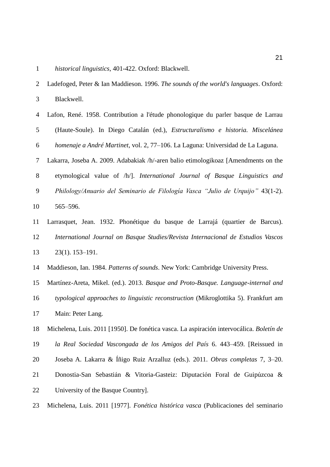| historical linguistics, 401-422. Oxford: Blackwell. |
|-----------------------------------------------------|
|-----------------------------------------------------|

| 2  | Ladefoged, Peter & Ian Maddieson. 1996. The sounds of the world's languages. Oxford:     |
|----|------------------------------------------------------------------------------------------|
| 3  | Blackwell.                                                                               |
| 4  | Lafon, René. 1958. Contribution a l'étude phonologique du parler basque de Larrau        |
| 5  | (Haute-Soule). In Diego Catalán (ed.), Estructuralismo e historia. Miscelánea            |
| 6  | homenaje a André Martinet, vol. 2, 77-106. La Laguna: Universidad de La Laguna.          |
| 7  | Lakarra, Joseba A. 2009. Adabakiak /h/-aren balio etimologikoaz [Amendments on the       |
| 8  | etymological value of /h/]. International Journal of Basque Linguistics and              |
| 9  | Philology/Anuario del Seminario de Filología Vasca "Julio de Urquijo" 43(1-2).           |
| 10 | 565-596.                                                                                 |
| 11 | Larrasquet, Jean. 1932. Phonétique du basque de Larrajá (quartier de Barcus).            |
| 12 | International Journal on Basque Studies/Revista Internacional de Estudios Vascos         |
| 13 | $23(1)$ . 153-191.                                                                       |
| 14 | Maddieson, Ian. 1984. Patterns of sounds. New York: Cambridge University Press.          |
| 15 | Martínez-Areta, Mikel. (ed.). 2013. Basque and Proto-Basque. Language-internal and       |
| 16 | typological approaches to linguistic reconstruction (Mikroglottika 5). Frankfurt am      |
| 17 | Main: Peter Lang.                                                                        |
| 18 | Michelena, Luis. 2011 [1950]. De fonética vasca. La aspiración intervocálica. Boletín de |
| 19 | la Real Sociedad Vascongada de los Amigos del País 6. 443-459. [Reissued in              |
| 20 | Joseba A. Lakarra & Íñigo Ruiz Arzalluz (eds.). 2011. Obras completas 7, 3-20.           |
| 21 | Donostia-San Sebastián & Vitoria-Gasteiz: Diputación Foral de Guipúzcoa &                |
| 22 | University of the Basque Country].                                                       |
| 23 | Michelena, Luis. 2011 [1977]. Fonética histórica vasca (Publicaciones del seminario      |